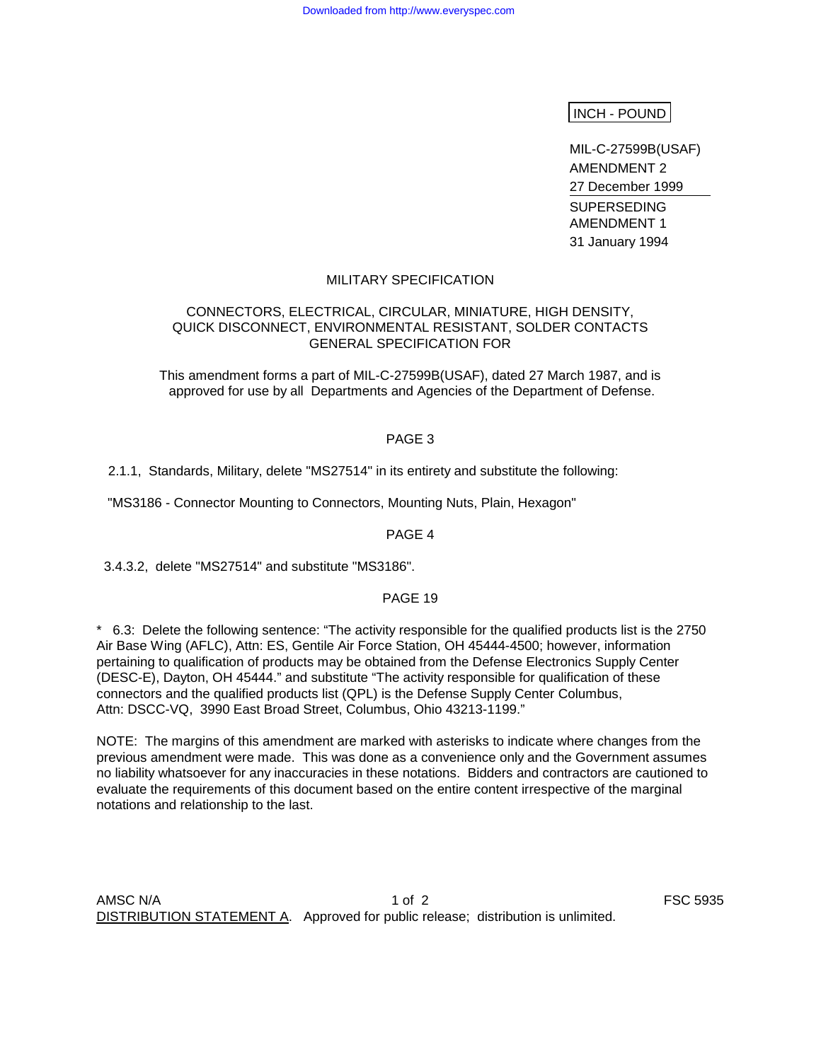## INCH - POUND

MIL-C-27599B(USAF) AMENDMENT 2 27 December 1999 SUPERSEDING AMENDMENT 1 31 January 1994

#### MILITARY SPECIFICATION

### CONNECTORS, ELECTRICAL, CIRCULAR, MINIATURE, HIGH DENSITY, QUICK DISCONNECT, ENVIRONMENTAL RESISTANT, SOLDER CONTACTS GENERAL SPECIFICATION FOR

This amendment forms a part of MIL-C-27599B(USAF), dated 27 March 1987, and is approved for use by all Departments and Agencies of the Department of Defense.

#### PAGE 3

#### 2.1.1, Standards, Military, delete "MS27514" in its entirety and substitute the following:

"MS3186 - Connector Mounting to Connectors, Mounting Nuts, Plain, Hexagon"

PAGE 4

3.4.3.2, delete "MS27514" and substitute "MS3186".

## PAGE 19

\* 6.3: Delete the following sentence: "The activity responsible for the qualified products list is the 2750 Air Base Wing (AFLC), Attn: ES, Gentile Air Force Station, OH 45444-4500; however, information pertaining to qualification of products may be obtained from the Defense Electronics Supply Center (DESC-E), Dayton, OH 45444." and substitute "The activity responsible for qualification of these connectors and the qualified products list (QPL) is the Defense Supply Center Columbus, Attn: DSCC-VQ, 3990 East Broad Street, Columbus, Ohio 43213-1199."

NOTE: The margins of this amendment are marked with asterisks to indicate where changes from the previous amendment were made. This was done as a convenience only and the Government assumes no liability whatsoever for any inaccuracies in these notations. Bidders and contractors are cautioned to evaluate the requirements of this document based on the entire content irrespective of the marginal notations and relationship to the last.